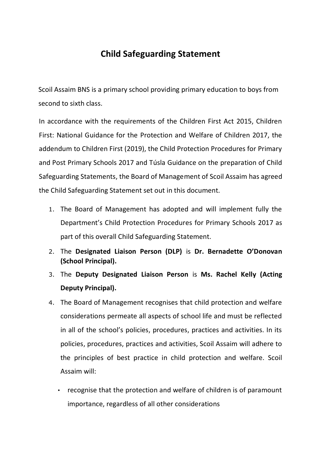## **Child Safeguarding Statement**

Scoil Assaim BNS is a primary school providing primary education to boys from second to sixth class.

In accordance with the requirements of the Children First Act 2015, Children First: National Guidance for the Protection and Welfare of Children 2017, the addendum to Children First (2019), the Child Protection Procedures for Primary and Post Primary Schools 2017 and Túsla Guidance on the preparation of Child Safeguarding Statements, the Board of Management of Scoil Assaim has agreed the Child Safeguarding Statement set out in this document.

- 1. The Board of Management has adopted and will implement fully the Department's Child Protection Procedures for Primary Schools 2017 as part of this overall Child Safeguarding Statement.
- 2. The **Designated Liaison Person (DLP)** is **Dr. Bernadette O'Donovan (School Principal).**
- 3. The **Deputy Designated Liaison Person** is **Ms. Rachel Kelly (Acting Deputy Principal).**
- 4. The Board of Management recognises that child protection and welfare considerations permeate all aspects of school life and must be reflected in all of the school's policies, procedures, practices and activities. In its policies, procedures, practices and activities, Scoil Assaim will adhere to the principles of best practice in child protection and welfare. Scoil Assaim will:
	- recognise that the protection and welfare of children is of paramount importance, regardless of all other considerations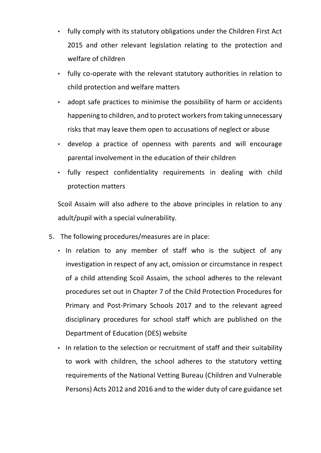- fully comply with its statutory obligations under the Children First Act 2015 and other relevant legislation relating to the protection and welfare of children
- fully co-operate with the relevant statutory authorities in relation to child protection and welfare matters
- adopt safe practices to minimise the possibility of harm or accidents happening to children, and to protect workers from taking unnecessary risks that may leave them open to accusations of neglect or abuse
- develop a practice of openness with parents and will encourage parental involvement in the education of their children
- fully respect confidentiality requirements in dealing with child protection matters

Scoil Assaim will also adhere to the above principles in relation to any adult/pupil with a special vulnerability.

- 5. The following procedures/measures are in place:
	- In relation to any member of staff who is the subject of any investigation in respect of any act, omission or circumstance in respect of a child attending Scoil Assaim, the school adheres to the relevant procedures set out in Chapter 7 of the Child Protection Procedures for Primary and Post-Primary Schools 2017 and to the relevant agreed disciplinary procedures for school staff which are published on the Department of Education (DES) website
	- In relation to the selection or recruitment of staff and their suitability to work with children, the school adheres to the statutory vetting requirements of the National Vetting Bureau (Children and Vulnerable Persons) Acts 2012 and 2016 and to the wider duty of care guidance set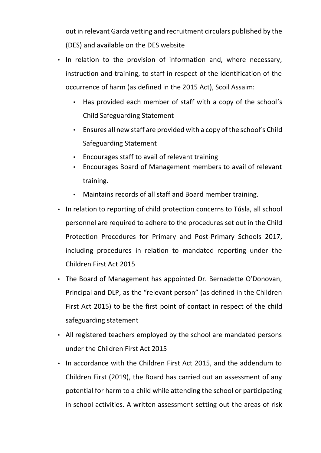out in relevant Garda vetting and recruitment circulars published by the (DES) and available on the DES website

- In relation to the provision of information and, where necessary, instruction and training, to staff in respect of the identification of the occurrence of harm (as defined in the 2015 Act), Scoil Assaim:
	- Has provided each member of staff with a copy of the school's Child Safeguarding Statement
	- Ensures all new staff are provided with a copy of the school's Child Safeguarding Statement
	- Encourages staff to avail of relevant training
	- Encourages Board of Management members to avail of relevant training.
	- Maintains records of all staff and Board member training.
- In relation to reporting of child protection concerns to Túsla, all school personnel are required to adhere to the procedures set out in the Child Protection Procedures for Primary and Post-Primary Schools 2017, including procedures in relation to mandated reporting under the Children First Act 2015
- The Board of Management has appointed Dr. Bernadette O'Donovan, Principal and DLP, as the "relevant person" (as defined in the Children First Act 2015) to be the first point of contact in respect of the child safeguarding statement
- All registered teachers employed by the school are mandated persons under the Children First Act 2015
- In accordance with the Children First Act 2015, and the addendum to Children First (2019), the Board has carried out an assessment of any potential for harm to a child while attending the school or participating in school activities. A written assessment setting out the areas of risk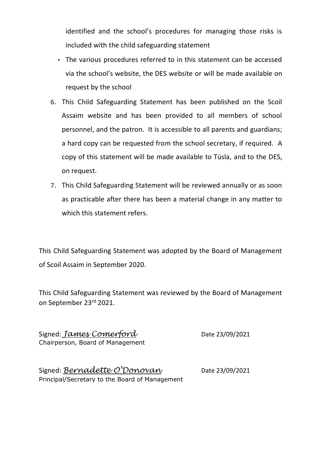identified and the school's procedures for managing those risks is included with the child safeguarding statement

- The various procedures referred to in this statement can be accessed via the school's website, the DES website or will be made available on request by the school
- 6. This Child Safeguarding Statement has been published on the Scoil Assaim website and has been provided to all members of school personnel, and the patron. It is accessible to all parents and guardians; a hard copy can be requested from the school secretary, if required. A copy of this statement will be made available to Túsla, and to the DES, on request.
- 7. This Child Safeguarding Statement will be reviewed annually or as soon as practicable after there has been a material change in any matter to which this statement refers.

This Child Safeguarding Statement was adopted by the Board of Management of Scoil Assaim in September 2020.

This Child Safeguarding Statement was reviewed by the Board of Management on September 23rd 2021.

Signed: *James Comerford* Date 23/09/2021 Chairperson, Board of Management

| Signed: Bernadette O'Donovan                   | Date 23/09/2021 |
|------------------------------------------------|-----------------|
| Principal/Secretary to the Board of Management |                 |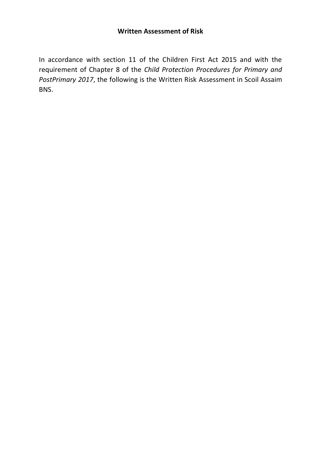In accordance with section 11 of the Children First Act 2015 and with the requirement of Chapter 8 of the *Child Protection Procedures for Primary and PostPrimary 2017*, the following is the Written Risk Assessment in Scoil Assaim BNS.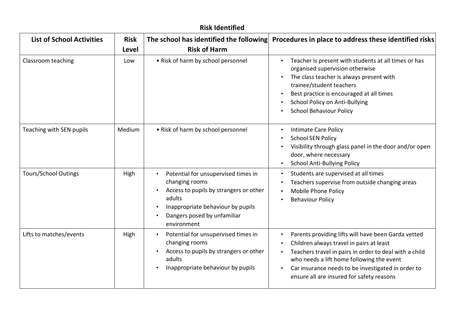| <b>Risk Identified</b>           |                      |                                                                                                                                                                                              |                                                                                                                                                                                                                                                                                                           |
|----------------------------------|----------------------|----------------------------------------------------------------------------------------------------------------------------------------------------------------------------------------------|-----------------------------------------------------------------------------------------------------------------------------------------------------------------------------------------------------------------------------------------------------------------------------------------------------------|
| <b>List of School Activities</b> | <b>Risk</b><br>Level | The school has identified the following<br><b>Risk of Harm</b>                                                                                                                               | Procedures in place to address these identified risks                                                                                                                                                                                                                                                     |
| Classroom teaching               | Low                  | • Risk of harm by school personnel                                                                                                                                                           | Teacher is present with students at all times or has<br>organised supervision otherwise<br>The class teacher is always present with<br>trainee/student teachers<br>Best practice is encouraged at all times<br>School Policy on Anti-Bullying<br><b>School Behaviour Policy</b>                           |
| Teaching with SEN pupils         | Medium               | • Risk of harm by school personnel                                                                                                                                                           | Intimate Care Policy<br><b>School SEN Policy</b><br>Visibility through glass panel in the door and/or open<br>door, where necessary<br><b>School Anti-Bullying Policy</b>                                                                                                                                 |
| <b>Tours/School Outings</b>      | High                 | Potential for unsupervised times in<br>changing rooms<br>Access to pupils by strangers or other<br>adults<br>Inappropriate behaviour by pupils<br>Dangers posed by unfamiliar<br>environment | Students are supervised at all times<br>Teachers supervise from outside changing areas<br>Mobile Phone Policy<br><b>Behaviour Policy</b>                                                                                                                                                                  |
| Lifts to matches/events          | High                 | Potential for unsupervised times in<br>changing rooms<br>Access to pupils by strangers or other<br>adults<br>Inappropriate behaviour by pupils                                               | Parents providing lifts will have been Garda vetted<br>Children always travel in pairs at least<br>Teachers travel in pairs in order to deal with a child<br>who needs a lift home following the event<br>Car insurance needs to be investigated in order to<br>ensure all are insured for safety reasons |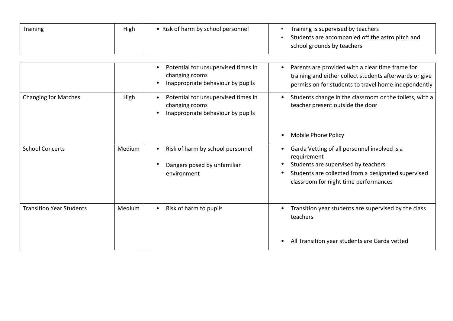| Training | High | Risk of harm by school personnel | Training is supervised by teachers<br>Students are accompanied off the astro pitch and |
|----------|------|----------------------------------|----------------------------------------------------------------------------------------|
|          |      |                                  | school grounds by teachers                                                             |

|                                 |        | Potential for unsupervised times in<br>$\bullet$<br>changing rooms<br>Inappropriate behaviour by pupils | Parents are provided with a clear time frame for<br>training and either collect students afterwards or give<br>permission for students to travel home independently                                 |
|---------------------------------|--------|---------------------------------------------------------------------------------------------------------|-----------------------------------------------------------------------------------------------------------------------------------------------------------------------------------------------------|
| <b>Changing for Matches</b>     | High   | Potential for unsupervised times in<br>$\bullet$<br>changing rooms<br>Inappropriate behaviour by pupils | Students change in the classroom or the toilets, with a<br>teacher present outside the door                                                                                                         |
|                                 |        |                                                                                                         | Mobile Phone Policy                                                                                                                                                                                 |
| <b>School Concerts</b>          | Medium | Risk of harm by school personnel<br>Dangers posed by unfamiliar<br>environment                          | Garda Vetting of all personnel involved is a<br>requirement<br>Students are supervised by teachers.<br>Students are collected from a designated supervised<br>classroom for night time performances |
| <b>Transition Year Students</b> | Medium | Risk of harm to pupils<br>$\bullet$                                                                     | Transition year students are supervised by the class<br>teachers<br>All Transition year students are Garda vetted                                                                                   |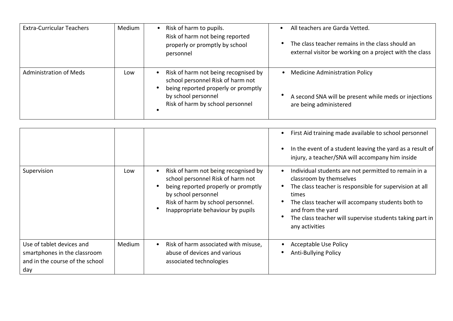| <b>Extra-Curricular Teachers</b> | Medium | Risk of harm to pupils.<br>$\bullet$<br>Risk of harm not being reported<br>properly or promptly by school<br>personnel                                                      | All teachers are Garda Vetted.<br>The class teacher remains in the class should an<br>external visitor be working on a project with the class |
|----------------------------------|--------|-----------------------------------------------------------------------------------------------------------------------------------------------------------------------------|-----------------------------------------------------------------------------------------------------------------------------------------------|
| <b>Administration of Meds</b>    | Low    | Risk of harm not being recognised by<br>school personnel Risk of harm not<br>being reported properly or promptly<br>by school personnel<br>Risk of harm by school personnel | <b>Medicine Administration Policy</b><br>A second SNA will be present while meds or injections<br>are being administered                      |

|                                                                                                     |        |                                                                                                                                                                                                                   | First Aid training made available to school personnel<br>In the event of a student leaving the yard as a result of<br>injury, a teacher/SNA will accompany him inside                                                                                                                                       |
|-----------------------------------------------------------------------------------------------------|--------|-------------------------------------------------------------------------------------------------------------------------------------------------------------------------------------------------------------------|-------------------------------------------------------------------------------------------------------------------------------------------------------------------------------------------------------------------------------------------------------------------------------------------------------------|
| Supervision                                                                                         | Low    | Risk of harm not being recognised by<br>school personnel Risk of harm not<br>being reported properly or promptly<br>by school personnel<br>Risk of harm by school personnel.<br>Inappropriate behaviour by pupils | Individual students are not permitted to remain in a<br>classroom by themselves<br>The class teacher is responsible for supervision at all<br>times<br>The class teacher will accompany students both to<br>and from the yard<br>The class teacher will supervise students taking part in<br>any activities |
| Use of tablet devices and<br>smartphones in the classroom<br>and in the course of the school<br>day | Medium | Risk of harm associated with misuse,<br>abuse of devices and various<br>associated technologies                                                                                                                   | Acceptable Use Policy<br>Anti-Bullying Policy                                                                                                                                                                                                                                                               |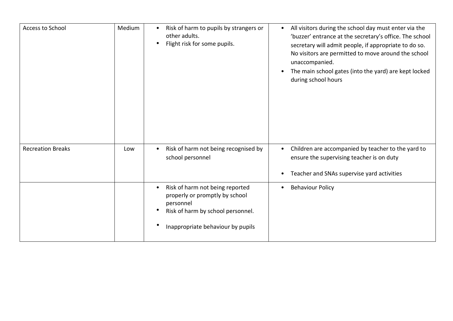| <b>Access to School</b>  | Medium | Risk of harm to pupils by strangers or<br>$\bullet$<br>other adults.<br>Flight risk for some pupils.<br>$\bullet$                                                     | All visitors during the school day must enter via the<br>$\bullet$<br>'buzzer' entrance at the secretary's office. The school<br>secretary will admit people, if appropriate to do so.<br>No visitors are permitted to move around the school<br>unaccompanied.<br>The main school gates (into the yard) are kept locked<br>during school hours |
|--------------------------|--------|-----------------------------------------------------------------------------------------------------------------------------------------------------------------------|-------------------------------------------------------------------------------------------------------------------------------------------------------------------------------------------------------------------------------------------------------------------------------------------------------------------------------------------------|
| <b>Recreation Breaks</b> | Low    | Risk of harm not being recognised by<br>school personnel                                                                                                              | Children are accompanied by teacher to the yard to<br>ensure the supervising teacher is on duty<br>Teacher and SNAs supervise yard activities                                                                                                                                                                                                   |
|                          |        | Risk of harm not being reported<br>$\bullet$<br>properly or promptly by school<br>personnel<br>Risk of harm by school personnel.<br>Inappropriate behaviour by pupils | <b>Behaviour Policy</b>                                                                                                                                                                                                                                                                                                                         |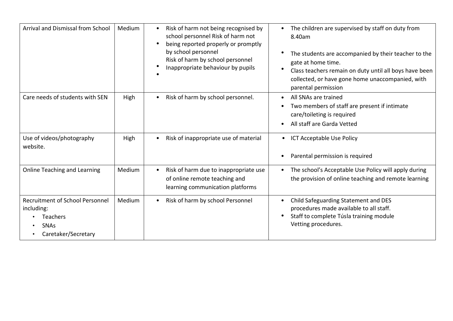| <b>Arrival and Dismissal from School</b>                                                                      | Medium | Risk of harm not being recognised by<br>$\bullet$<br>school personnel Risk of harm not<br>being reported properly or promptly<br>$\bullet$<br>by school personnel<br>Risk of harm by school personnel<br>Inappropriate behaviour by pupils | The children are supervised by staff on duty from<br>$\bullet$<br>8.40am<br>The students are accompanied by their teacher to the<br>gate at home time.<br>Class teachers remain on duty until all boys have been<br>collected, or have gone home unaccompanied, with<br>parental permission |
|---------------------------------------------------------------------------------------------------------------|--------|--------------------------------------------------------------------------------------------------------------------------------------------------------------------------------------------------------------------------------------------|---------------------------------------------------------------------------------------------------------------------------------------------------------------------------------------------------------------------------------------------------------------------------------------------|
| Care needs of students with SEN                                                                               | High   | Risk of harm by school personnel.<br>$\bullet$                                                                                                                                                                                             | All SNAs are trained<br>Two members of staff are present if intimate<br>care/toileting is required<br>All staff are Garda Vetted                                                                                                                                                            |
| Use of videos/photography<br>website.                                                                         | High   | Risk of inappropriate use of material<br>$\bullet$                                                                                                                                                                                         | <b>ICT Acceptable Use Policy</b><br>$\bullet$<br>Parental permission is required                                                                                                                                                                                                            |
| Online Teaching and Learning                                                                                  | Medium | Risk of harm due to inappropriate use<br>of online remote teaching and<br>learning communication platforms                                                                                                                                 | The school's Acceptable Use Policy will apply during<br>$\bullet$<br>the provision of online teaching and remote learning                                                                                                                                                                   |
| <b>Recruitment of School Personnel</b><br>including:<br><b>Teachers</b><br><b>SNAs</b><br>Caretaker/Secretary | Medium | Risk of harm by school Personnel<br>$\bullet$                                                                                                                                                                                              | Child Safeguarding Statement and DES<br>procedures made available to all staff.<br>Staff to complete Túsla training module<br>Vetting procedures.                                                                                                                                           |